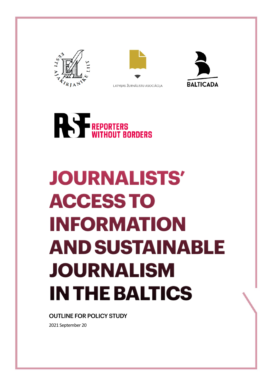







### **JOURNALISTS' ACCESS TO INFORMATION AND SUSTAINABLE JOURNALISM IN THE BALTICS**

#### OUTLINE FOR POLICY STUDY

2021 September 20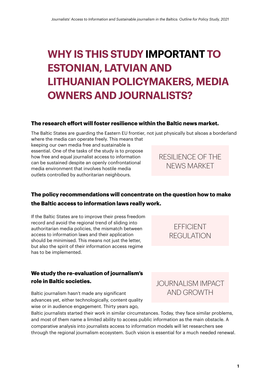### **WHY IS THIS STUDY IMPORTANT TO ESTONIAN, LATVIAN AND LITHUANIAN POLICYMAKERS, MEDIA OWNERS AND JOURNALISTS?**

#### **The research effort will foster resilience within the Baltic news market.**

The Baltic States are guarding the Eastern EU frontier, not just physically but alsoas a borderland

where the media can operate freely. This means that keeping our own media free and sustainable is essential. One of the tasks of the study is to propose how free and equal journalist access to information can be sustained despite an openly confrontational media environment that involves hostile media outlets controlled by authoritarian neighbours.

#### RESILIENCE OF THE NEWS MARKET

#### **The policy recommendations will concentrate on the question how to make the Baltic access to information laws really work.**

If the Baltic States are to improve their press freedom record and avoid the regional trend of sliding into authoritarian media policies, the mismatch between access to information laws and their application should be minimised. This means not just the letter, but also the spirit of their information access regime has to be implemented.

#### **We study the re-evaluation of journalism's role in Baltic societies.**

Baltic journalism hasn't made any significant advances yet, either technologically, content quality wise or in audience engagement. Thirty years ago,

Baltic journalists started their work in similar circumstances. Today, they face similar problems, and most of them name a limited ability to access public information as the main obstacle. A comparative analysis into journalists access to information models will let researchers see through the regional journalism ecosystem. Such vision is essential for a much needed renewal.



**FFFICIENT** REGULATION

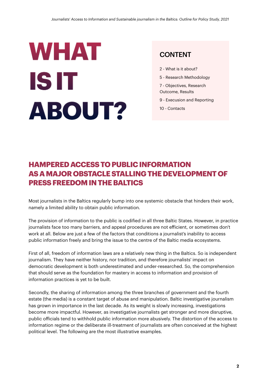## <span id="page-2-0"></span>**WHAT IS IT ABOUT?**

#### CONTENT

- 2 [What is it about?](#page-2-0)
- 5 - [Research Methodology](#page-5-0)
- [7 Objectives, Research](#page-7-0)  [Outcome, Results](#page-7-0)
- 9 [Execusion and Reporting](#page-9-0)
- 10 [Contacts](#page-10-0)

#### **HAMPERED ACCESS TO PUBLIC INFORMATION AS A MAJOR OBSTACLE STALLING THE DEVELOPMENT OF PRESS FREEDOM IN THE BALTICS**

Most journalists in the Baltics regularly bump into one systemic obstacle that hinders their work, namely a limited ability to obtain public information.

The provision of information to the public is codified in all three Baltic States. However, in practice journalists face too many barriers, and appeal procedures are not efficient, or sometimes don't work at all. Below are just a few of the factors that conditions a journalist's inability to access public information freely and bring the issue to the centre of the Baltic media ecosystems.

First of all, freedom of information laws are a relatively new thing in the Baltics. So is independent journalism. They have neither history, nor tradition, and therefore journalists' impact on democratic development is both underestimated and under-researched. So, the comprehension that should serve as the foundation for mastery in access to information and provision of information practices is yet to be built.

Secondly, the sharing of information among the three branches of government and the fourth estate (the media) is a constant target of abuse and manipulation. Baltic investigative journalism has grown in importance in the last decade. As its weight is slowly increasing, investigations become more impactful. However, as investigative journalists get stronger and more disruptive, public officials tend to withhold public information more abusively. The distortion of the access to information regime or the deliberate ill-treatment of journalists are often conceived at the highest political level. The following are the most illustrative examples.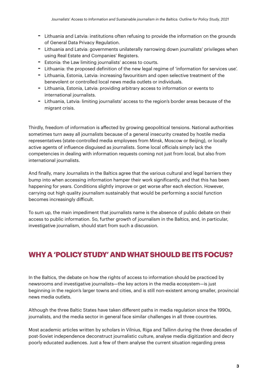- Lithuania and Latvia: institutions often refusing to provide the information on the grounds of General Data Privacy Regulation.
- Lithuania and Latvia: governments unilaterally narrowing down journalists' privileges when using Real Estate and Companies' Registers.
- Estonia: the Law limiting journalists' access to courts.
- Lithuania: the proposed definition of the new legal regime of 'information for services use'.
- Lithuania, Estonia, Latvia: increasing favouritism and open selective treatment of the benevolent or controlled local news media outlets or individuals.
- Lithuania, Estonia, Latvia: providing arbitrary access to information or events to international journalists.
- Lithuania, Latvia: limiting journalists' access to the region's border areas because of the migrant crisis.

Thirdly, freedom of information is affected by growing geopolitical tensions. National authorities sometimes turn away all journalists because of a general insecurity created by hostile media representatives (state-controlled media employees from Minsk, Moscow or Beijing), or locally active agents of influence disguised as journalists. Some local officials simply lack the competencies in dealing with information requests coming not just from local, but also from international journalists.

And finally, many Journalists in the Baltics agree that the various cultural and legal barriers they bump into when accessing information hamper their work significantly, and that this has been happening for years. Conditions slightly improve or get worse after each election. However, carrying out high quality journalism sustainably that would be performing a social function becomes increasingly difficult.

To sum up, the main impediment that journalists name is the absence of public debate on their access to public information. So, further growth of journalism in the Baltics, and, in particular, investigative journalism, should start from such a discussion.

#### **WHY A 'POLICY STUDY' AND WHAT SHOULD BE ITS FOCUS?**

In the Baltics, the debate on how the rights of access to information should be practiced by newsrooms and investigative journalists—the key actors in the media ecosystem—is just beginning in the region's larger towns and cities, and is still non-existent among smaller, provincial news media outlets.

Although the three Baltic States have taken different paths in media regulation since the 1990s, journalists, and the media sector in general face similar challenges in all three countries.

Most academic articles written by scholars in Vilnius, Riga and Tallinn during the three decades of post-Soviet independence deconstruct journalistic culture, analyse media digitization and decry poorly educated audiences. Just a few of them analyse the current situation regarding press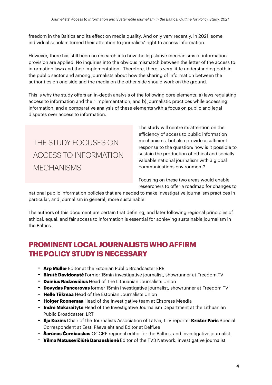freedom in the Baltics and its effect on media quality. And only very recently, in 2021, some individual scholars turned their attention to journalists' right to access information.

However, there has still been no research into how the legislative mechanisms of information provision are applied. No inquiries into the obvious mismatch between the letter of the access to information laws and their implementation. Therefore, there is very little understanding both in the public sector and among journalists about how the sharing of information between the authorities on one side and the media on the other side should work on the ground.

This is why the study offers an in-depth analysis of the following core elements: a) laws regulating access to information and their implementation, and b) journalistic practices while accessing information, and a comparative analysis of these elements with a focus on public and legal disputes over access to information.

### THE STUDY FOCUSES ON ACCESS TO INFORMATION **MECHANISMS**

The study will centre its attention on the efficiency of access to public information mechanisms, but also provide a sufficient response to the question: how is it possible to sustain the production of ethical and socially valuable national journalism with a global communications environment?

Focusing on these two areas would enable researchers to offer a roadmap for changes to

national public information policies that are needed to make investigative journalism practices in particular, and journalism in general, more sustainable.

The authors of this document are certain that defining, and later following regional principles of ethical, equal, and fair access to information is essential for achieving sustainable journalism in the Baltics.

#### **PROMINENT LOCAL JOURNALISTS WHO AFFIRM THE POLICY STUDY IS NECESSARY**

- **Arp Müller** Editor at the Estonian Public Broadcaster ERR
- **Birutė Davidonyt<sup>ė</sup>** Former 15min investigative journalist, showrunner at Freedom TV
- **Dainius Radzevičius** Head of The Lithuanian Journalists Union
- **Dovydas Pancerovas** former 15min investigative journalist, showrunner at Freedom TV
- **Helle Tiikmaa** Head of the Estonian Journalists Union
- **Holger Roonemaa** Head of the Investigative team at Ekspress Meedia
- **Indrė Makaraitytė** Head of the Investigative Journalism Department at the Lithuanian Public Broadcaster, LRT
- **Ilja Kozins** Chair of the Journalists Association of Latvia, LTV reporter **Krister Paris** Special Correspondent at Eesti Päevaleht and Editor at Delfi.ee
- **<sup>Š</sup>arūnas Černiauskas** OCCRP regional editor for the Baltics, and investigative journalist
- **Vilma Matusevičiūtė Danauskien<sup>ė</sup>** Editor of the TV3 Network, investigative journalist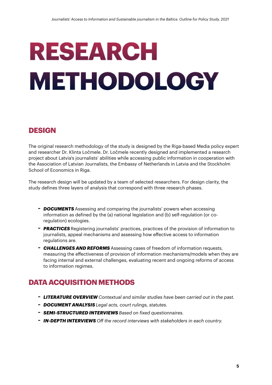### <span id="page-5-0"></span>**RESEARCH METHODOLOGY**

#### **DESIGN**

The original research methodology of the study is designed by the Riga-based Media policy expert and researcher Dr. Klinta Ločmele. Dr. Ločmele recently designed and implemented a research project about Latvia's journalists' abilities while accessing public information in cooperation with the Association of Latvian Journalists, the Embassy of Netherlands in Latvia and the Stockholm School of Economics in Riga.

The research design will be updated by a team of selected researchers. For design clarity, the study defines three layers of analysis that correspond with three research phases.

- *DOCUMENTS* Assessing and comparing the journalists' powers when accessing information as defined by the (a) national legislation and (b) self-regulation (or coregulation) ecologies.
- *PRACTICES* Registering journalists' practices, practices of the provision of information to journalists, appeal mechanisms and assessing how effective access to information regulations are.
- *CHALLENGES AND REFORMS* Assessing cases of freedom of information requests, measuring the effectiveness of provision of information mechanisms/models when they are facing internal and external challenges, evaluating recent and ongoing reforms of access to information regimes.

#### **DATA ACQUISITION METHODS**

- *LITERATURE OVERVIEW Contextual and similar studies have been carried out in the past.*
- *DOCUMENT ANALYSIS Legal acts, court rulings, statutes.*
- *SEMI-STRUCTURED INTERVIEWS Based on fixed questionnaires.*
- *IN-DEPTH INTERVIEWS Off the record interviews with stakeholders in each country.*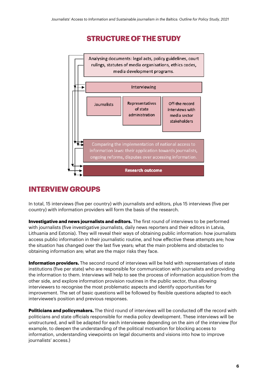#### **STRUCTURE OF THE STUDY**



#### **INTERVIEW GROUPS**

In total, 15 interviews (five per country) with journalists and editors, plus 15 interviews (five per country) with information providers will form the basis of the research.

**Investigative and news journalists and editors.** The first round of interviews to be performed with journalists (five investigative journalists, daily news reporters and their editors in Latvia, Lithuania and Estonia). They will reveal their ways of obtaining public information: how journalists access public information in their journalistic routine, and how effective these attempts are; how the situation has changed over the last five years; what the main problems and obstacles to obtaining information are; what are the major risks they face.

**Information providers.** The second round of interviews will be held with representatives of state institutions (five per state) who are responsible for communication with journalists and providing the information to them. Interviews will help to see the process of information acquisition from the other side, and explore information provision routines in the public sector, thus allowing interviewers to recognise the most problematic aspects and identify opportunities for improvement. The set of basic questions will be followed by flexible questions adapted to each interviewee's position and previous responses.

**Politicians and policymakers.** The third round of interviews will be conducted off the record with politicians and state officials responsible for media policy development. These interviews will be unstructured, and will be adapted for each interviewee depending on the aim of the interview (for example, to deepen the understanding of the political motivation for blocking access to information, understanding viewpoints on legal documents and visions into how to improve journalists' access.)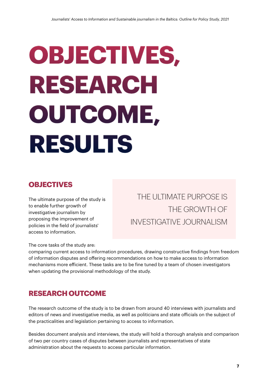# <span id="page-7-0"></span>**OBJECTIVES, RESEARCH OUTCOME, RESULTS**

#### **OBJECTIVES**

The ultimate purpose of the study is to enable further growth of investigative journalism by proposing the improvement of policies in the field of journalists' access to information.

The core tasks of the study are:

THE ULTIMATE PURPOSE IS THE GROWTH OF **INVESTIGATIVE JOURNALISM** 

comparing current access to information procedures, drawing constructive findings from freedom of information disputes and offering recommendations on how to make access to information mechanisms more efficient. These tasks are to be fine tuned by a team of chosen investigators when updating the provisional methodology of the study.

#### **RESEARCH OUTCOME**

The research outcome of the study is to be drawn from around 40 interviews with journalists and editors of news and investigative media, as well as politicians and state officials on the subject of the practicalities and legislation pertaining to access to information.

Besides document analysis and interviews, the study will hold a thorough analysis and comparison of two per country cases of disputes between journalists and representatives of state administration about the requests to access particular information.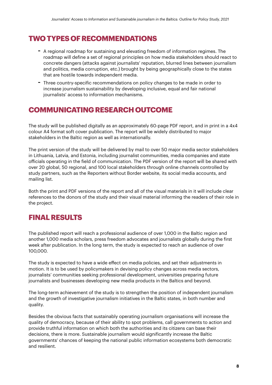#### **TWO TYPES OF RECOMMENDATIONS**

- A regional roadmap for sustaining and elevating freedom of information regimes. The roadmap will define a set of regional principles on how media stakeholders should react to concrete dangers (attacks against journalists' reputation, blurred lines between journalism and politics, media corruption, etc.) brought by being geographically close to the states that are hostile towards independent media.
- Three country-specific recommendations on policy changes to be made in order to increase journalism sustainability by developing inclusive, equal and fair national journalists' access to information mechanisms.

#### **COMMUNICATING RESEARCH OUTCOME**

The study will be published digitally as an approximately 60-page PDF report, and in print in a 4x4 colour A4 format soft cover publication. The report will be widely distributed to major stakeholders in the Baltic region as well as internationally.

The print version of the study will be delivered by mail to over 50 major media sector stakeholders in Lithuania, Latvia, and Estonia, including journalist communities, media companies and state officials operating in the field of communication. The PDF version of the report will be shared with over 20 global, 50 regional, and 100 local stakeholders through online channels controlled by study partners, such as the Reporters without Border website, its social media accounts, and mailing list.

Both the print and PDF versions of the report and all of the visual materials in it will include clear references to the donors of the study and their visual material informing the readers of their role in the project.

#### **FINAL RESULTS**

The published report will reach a professional audience of over 1,000 in the Baltic region and another 1,000 media scholars, press freedom advocates and journalists globally during the first week after publication. In the long term, the study is expected to reach an audience of over 100,000.

The study is expected to have a wide effect on media policies, and set their adjustments in motion. It is to be used by policymakers in devising policy changes across media sectors, journalists' communities seeking professional development, universities preparing future journalists and businesses developing new media products in the Baltics and beyond.

The long-term achievement of the study is to strengthen the position of independent journalism and the growth of investigative journalism initiatives in the Baltic states, in both number and quality.

Besides the obvious facts that sustainably operating journalism organisations will increase the quality of democracy, because of their ability to spot problems, call governments to action and provide truthful information on which both the authorities and its citizens can base their decisions, there is more. Sustainable journalism would significantly increase the Baltic governments' chances of keeping the national public information ecosystems both democratic and resilient.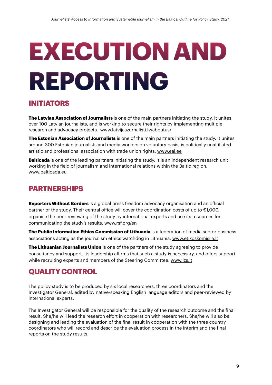# <span id="page-9-0"></span>**EXECUTION AND REPORTING**

#### **INITIATORS**

**The Latvian Association of Journalists** is one of the main partners initiating the study. It unites over 100 Latvian journalists, and is working to secure their rights by implementing multiple research and advocacy projects. [www.latvijaszurnalisti.lv/aboutus/](http://www.latvijaszurnalisti.lv/aboutus/)

**The Estonian Association of Journalists** is one of the main partners initiating the study. It unites around 300 Estonian journalists and media workers on voluntary basis, is politically unaffiliated artistic and professional association with trade union rights. [www.eal.ee](http://www.eal.ee)

**Balticada** is one of the leading partners initiating the study. It is an independent research unit working in the field of journalism and international relations within the Baltic region. [www.balticada.eu](http://www.balticada.eu)

#### **PARTNERSHIPS**

**Reporters Without Borders** is a global press freedom advocacy organisation and an official partner of the study. Their central office will cover the coordination costs of up to €1,000, organise the peer-reviewing of the study by international experts and use its resources for communicating the study's results. [www.rsf.org/en](http://www.rsf.org/en)

**The Public Information Ethics Commission of Lithuania** is a federation of media sector business associations acting as the journalism ethics watchdog in Lithuania. [www.etikoskomisija.lt](http://www.etikoskomisija.lt)

**The Lithuanian Journalists Union** is one of the partners of the study agreeing to provide consultancy and support. Its leadership affirms that such a study is necessary, and offers support while recruiting experts and members of the Steering Committee. [www.lzs.lt](http://www.lzs.lt)

#### **QUALITY CONTROL**

The policy study is to be produced by six local researchers, three coordinators and the Investigator General, edited by native-speaking English language editors and peer-reviewed by international experts.

The Investigator General will be responsible for the quality of the research outcome and the final result. She/he will lead the research effort in cooperation with researchers. She/he will also be designing and leading the evaluation of the final result in cooperation with the three country coordinators who will record and describe the evaluation process in the interim and the final reports on the study results.